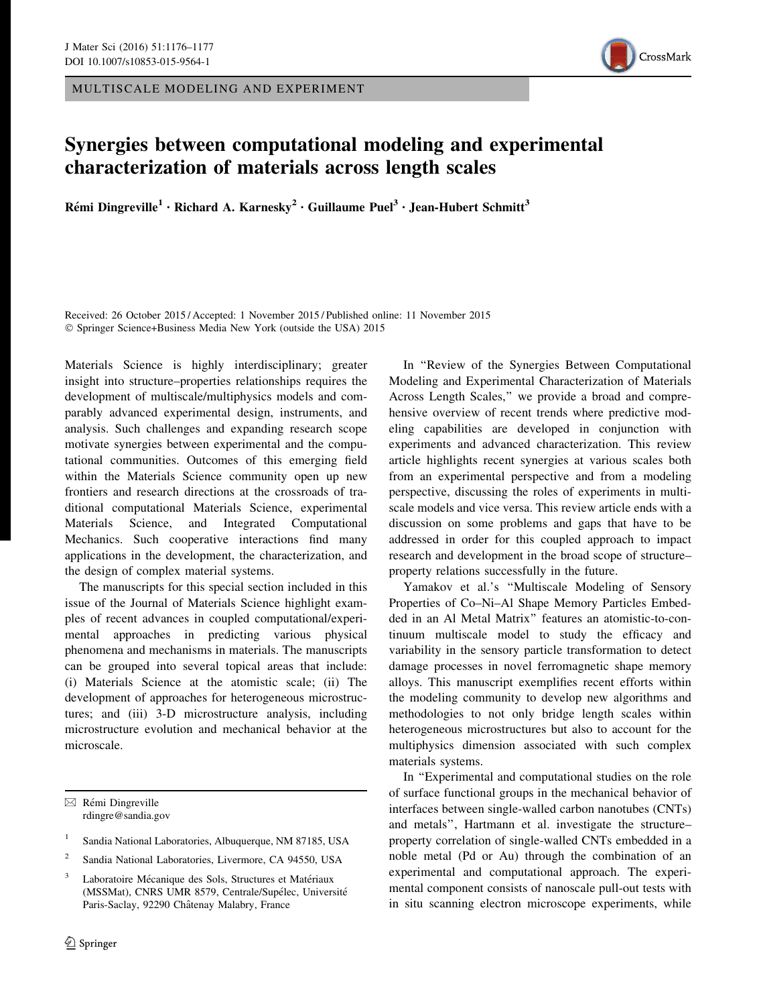MULTISCALE MODELING AND EXPERIMENT



## Synergies between computational modeling and experimental characterization of materials across length scales

Rémi Dingreville<sup>1</sup> • Richard A. Karnesky<sup>2</sup> • Guillaume Puel<sup>3</sup> • Jean-Hubert Schmitt<sup>3</sup>

Received: 26 October 2015 / Accepted: 1 November 2015 / Published online: 11 November 2015 © Springer Science+Business Media New York (outside the USA) 2015

Materials Science is highly interdisciplinary; greater insight into structure–properties relationships requires the development of multiscale/multiphysics models and comparably advanced experimental design, instruments, and analysis. Such challenges and expanding research scope motivate synergies between experimental and the computational communities. Outcomes of this emerging field within the Materials Science community open up new frontiers and research directions at the crossroads of traditional computational Materials Science, experimental Materials Science, and Integrated Computational Mechanics. Such cooperative interactions find many applications in the development, the characterization, and the design of complex material systems.

The manuscripts for this special section included in this issue of the Journal of Materials Science highlight examples of recent advances in coupled computational/experimental approaches in predicting various physical phenomena and mechanisms in materials. The manuscripts can be grouped into several topical areas that include: (i) Materials Science at the atomistic scale; (ii) The development of approaches for heterogeneous microstructures; and (iii) 3-D microstructure analysis, including microstructure evolution and mechanical behavior at the microscale.

 $\boxtimes$  Rémi Dingreville rdingre@sandia.gov

- Sandia National Laboratories, Albuquerque, NM 87185, USA
- <sup>2</sup> Sandia National Laboratories, Livermore, CA 94550, USA
- Laboratoire Mécanique des Sols, Structures et Matériaux (MSSMat), CNRS UMR 8579, Centrale/Supélec, Université Paris-Saclay, 92290 Châtenay Malabry, France

In ''Review of the Synergies Between Computational Modeling and Experimental Characterization of Materials Across Length Scales,'' we provide a broad and comprehensive overview of recent trends where predictive modeling capabilities are developed in conjunction with experiments and advanced characterization. This review article highlights recent synergies at various scales both from an experimental perspective and from a modeling perspective, discussing the roles of experiments in multiscale models and vice versa. This review article ends with a discussion on some problems and gaps that have to be addressed in order for this coupled approach to impact research and development in the broad scope of structure– property relations successfully in the future.

Yamakov et al.'s "Multiscale Modeling of Sensory Properties of Co–Ni–Al Shape Memory Particles Embedded in an Al Metal Matrix'' features an atomistic-to-continuum multiscale model to study the efficacy and variability in the sensory particle transformation to detect damage processes in novel ferromagnetic shape memory alloys. This manuscript exemplifies recent efforts within the modeling community to develop new algorithms and methodologies to not only bridge length scales within heterogeneous microstructures but also to account for the multiphysics dimension associated with such complex materials systems.

In ''Experimental and computational studies on the role of surface functional groups in the mechanical behavior of interfaces between single-walled carbon nanotubes (CNTs) and metals'', Hartmann et al. investigate the structure– property correlation of single-walled CNTs embedded in a noble metal (Pd or Au) through the combination of an experimental and computational approach. The experimental component consists of nanoscale pull-out tests with in situ scanning electron microscope experiments, while